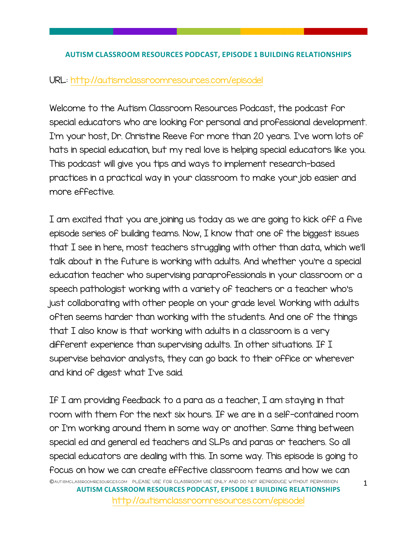## **AUTISM CLASSROOM RESOURCES PODCAST, EPISODE 1 BUILDING RELATIONSHIPS**

## URL: http://autismclassroomresources.com/episodel

Welcome to the Autism Classroom Resources Podcast, the podcast for special educators who are looking for personal and professional development. I'm your host, Dr. Christine Reeve for more than 20 years. I've worn lots of hats in special education, but my real love is helping special educators like you. This podcast will give you tips and ways to implement research-based practices in a practical way in your classroom to make your job easier and more effective.

I am excited that you are joining us today as we are going to kick off a five episode series of building teams. Now, I know that one of the biggest issues that I see in here, most teachers struggling with other than data, which we'll talk about in the future is working with adults. And whether you're a special education teacher who supervising paraprofessionals in your classroom or a speech pathologist working with a variety of teachers or a teacher who's just collaborating with other people on your grade level. Working with adults often seems harder than working with the students. And one of the things that I also know is that working with adults in a classroom is a very different experience than supervising adults. In other situations. If I supervise behavior analysts, they can go back to their office or wherever and kind of digest what I've said.

©AutismClassroomResources.com please use for classroom use only and do not reproduce without permission **AUTISM CLASSROOM RESOURCES PODCAST, EPISODE 1 BUILDING RELATIONSHIPS** If I am providing feedback to a para as a teacher, I am staying in that room with them for the next six hours. If we are in a self-contained room or I'm working around them in some way or another. Same thing between special ed and general ed teachers and SLPs and paras or teachers. So all special educators are dealing with this. In some way. This episode is going to focus on how we can create effective classroom teams and how we can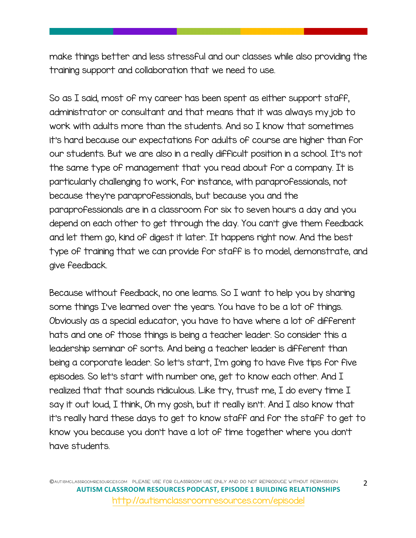make things better and less stressful and our classes while also providing the training support and collaboration that we need to use.

So as I said, most of my career has been spent as either support staff, administrator or consultant and that means that it was always my job to work with adults more than the students. And so I know that sometimes it's hard because our expectations for adults of course are higher than for our students. But we are also in a really difficult position in a school. It's not the same type of management that you read about for a company. It is particularly challenging to work, for instance, with paraprofessionals, not because they're paraprofessionals, but because you and the paraprofessionals are in a classroom for six to seven hours a day and you depend on each other to get through the day. You can't give them feedback and let them go, kind of digest it later. It happens right now. And the best type of training that we can provide for staff is to model, demonstrate, and give feedback.

Because without feedback, no one learns. So I want to help you by sharing some things I've learned over the years. You have to be a lot of things. Obviously as a special educator, you have to have where a lot of different hats and one of those things is being a teacher leader. So consider this a leadership seminar of sorts. And being a teacher leader is different than being a corporate leader. So let's start, I'm going to have five tips for five episodes. So let's start with number one, get to know each other. And I realized that that sounds ridiculous. Like try, trust me, I do every time I say it out loud, I think, Oh my gosh, but it really isn't. And I also know that it's really hard these days to get to know staff and for the staff to get to know you because you don't have a lot of time together where you don't have students.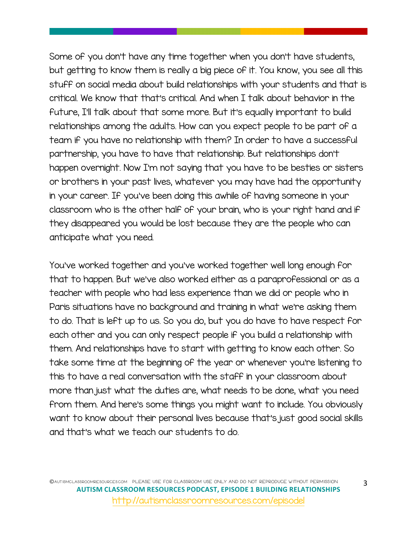Some of you don't have any time together when you don't have students, but getting to know them is really a big piece of it. You know, you see all this stuff on social media about build relationships with your students and that is critical. We know that that's critical. And when I talk about behavior in the future, I'll talk about that some more. But it's equally important to build relationships among the adults. How can you expect people to be part of a team if you have no relationship with them? In order to have a successful partnership, you have to have that relationship. But relationships don't happen overnight. Now I'm not saying that you have to be besties or sisters or brothers in your past lives, whatever you may have had the opportunity in your career. If you've been doing this awhile of having someone in your classroom who is the other half of your brain, who is your right hand and if they disappeared you would be lost because they are the people who can anticipate what you need.

You've worked together and you've worked together well long enough for that to happen. But we've also worked either as a paraprofessional or as a teacher with people who had less experience than we did or people who in Paris situations have no background and training in what we're asking them to do. That is left up to us. So you do, but you do have to have respect for each other and you can only respect people if you build a relationship with them. And relationships have to start with getting to know each other. So take some time at the beginning of the year or whenever you're listening to this to have a real conversation with the staff in your classroom about more than just what the duties are, what needs to be done, what you need from them. And here's some things you might want to include. You obviously want to know about their personal lives because that's just good social skills and that's what we teach our students to do.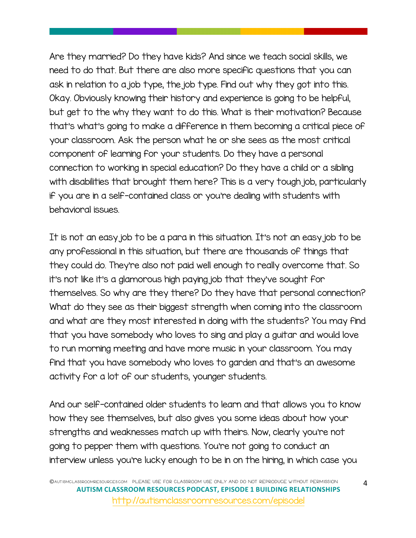Are they married? Do they have kids? And since we teach social skills, we need to do that. But there are also more specific questions that you can ask in relation to a job type, the job type. Find out why they got into this. Okay. Obviously knowing their history and experience is going to be helpful, but get to the why they want to do this. What is their motivation? Because that's what's going to make a difference in them becoming a critical piece of your classroom. Ask the person what he or she sees as the most critical component of learning for your students. Do they have a personal connection to working in special education? Do they have a child or a sibling with disabilities that brought them here? This is a very tough job, particularly if you are in a self-contained class or you're dealing with students with behavioral issues.

It is not an easy job to be a para in this situation. It's not an easy job to be any professional in this situation, but there are thousands of things that they could do. They're also not paid well enough to really overcome that. So it's not like it's a glamorous high paying job that they've sought for themselves. So why are they there? Do they have that personal connection? What do they see as their biggest strength when coming into the classroom and what are they most interested in doing with the students? You may find that you have somebody who loves to sing and play a guitar and would love to run morning meeting and have more music in your classroom. You may find that you have somebody who loves to garden and that's an awesome activity for a lot of our students, younger students.

And our self-contained older students to learn and that allows you to know how they see themselves, but also gives you some ideas about how your strengths and weaknesses match up with theirs. Now, clearly you're not going to pepper them with questions. You're not going to conduct an interview unless you're lucky enough to be in on the hiring, in which case you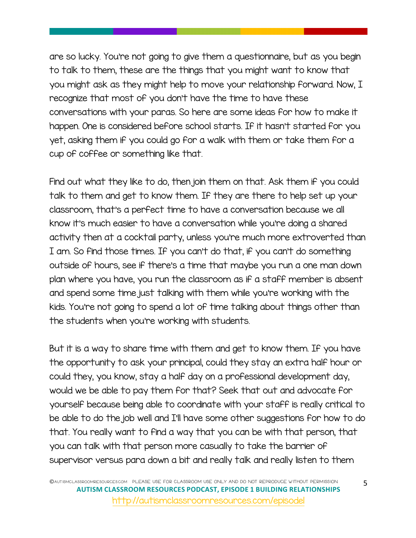are so lucky. You're not going to give them a questionnaire, but as you begin to talk to them, these are the things that you might want to know that you might ask as they might help to move your relationship forward. Now, I recognize that most of you don't have the time to have these conversations with your paras. So here are some ideas for how to make it happen. One is considered before school starts. If it hasn't started for you yet, asking them if you could go for a walk with them or take them for a cup of coffee or something like that.

Find out what they like to do, then join them on that. Ask them if you could talk to them and get to know them. If they are there to help set up your classroom, that's a perfect time to have a conversation because we all know it's much easier to have a conversation while you're doing a shared activity then at a cocktail party, unless you're much more extroverted than I am. So find those times. If you can't do that, if you can't do something outside of hours, see if there's a time that maybe you run a one man down plan where you have, you run the classroom as if a staff member is absent and spend some time just talking with them while you're working with the kids. You're not going to spend a lot of time talking about things other than the students when you're working with students.

But it is a way to share time with them and get to know them. If you have the opportunity to ask your principal, could they stay an extra half hour or could they, you know, stay a half day on a professional development day, would we be able to pay them for that? Seek that out and advocate for yourself because being able to coordinate with your staff is really critical to be able to do the job well and I'll have some other suggestions for how to do that. You really want to find a way that you can be with that person, that you can talk with that person more casually to take the barrier of supervisor versus para down a bit and really talk and really listen to them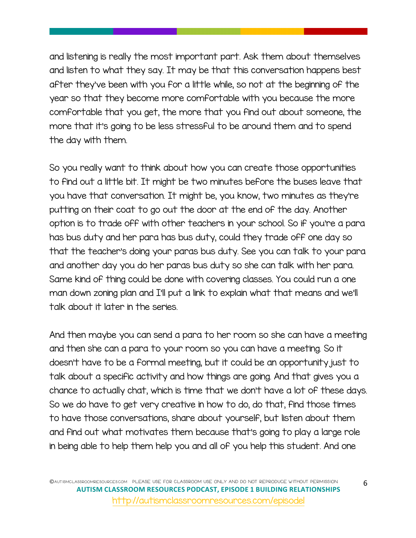and listening is really the most important part. Ask them about themselves and listen to what they say. It may be that this conversation happens best after they've been with you for a little while, so not at the beginning of the year so that they become more comfortable with you because the more comfortable that you get, the more that you find out about someone, the more that it's going to be less stressful to be around them and to spend the day with them.

So you really want to think about how you can create those opportunities to find out a little bit. It might be two minutes before the buses leave that you have that conversation. It might be, you know, two minutes as they're putting on their coat to go out the door at the end of the day. Another option is to trade off with other teachers in your school. So if you're a para has bus duty and her para has bus duty, could they trade off one day so that the teacher's doing your paras bus duty. See you can talk to your para and another day you do her paras bus duty so she can talk with her para. Same kind of thing could be done with covering classes. You could run a one man down zoning plan and I'll put a link to explain what that means and we'll talk about it later in the series.

And then maybe you can send a para to her room so she can have a meeting and then she can a para to your room so you can have a meeting. So it doesn't have to be a formal meeting, but it could be an opportunity just to talk about a specific activity and how things are going. And that gives you a chance to actually chat, which is time that we don't have a lot of these days. So we do have to get very creative in how to do, do that, find those times to have those conversations, share about yourself, but listen about them and find out what motivates them because that's going to play a large role in being able to help them help you and all of you help this student. And one